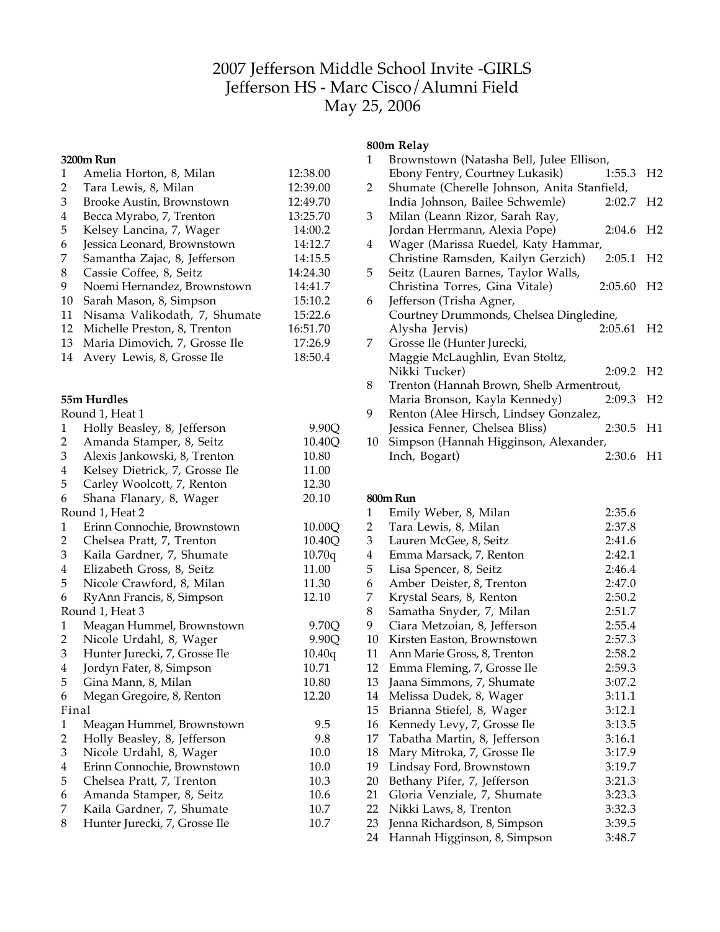# Jefferson Middle School Invite -GIRLS Jefferson HS - Marc Cisco/Alumni Field May 25, 2006

|                         | 3200m Run                      |          |
|-------------------------|--------------------------------|----------|
| $\mathbf{1}$            | Amelia Horton, 8, Milan        | 12:38.00 |
| $\overline{c}$          | Tara Lewis, 8, Milan           | 12:39.00 |
| 3                       | Brooke Austin, Brownstown      | 12:49.70 |
| $\overline{4}$          | Becca Myrabo, 7, Trenton       | 13:25.70 |
| 5                       | Kelsey Lancina, 7, Wager       | 14:00.2  |
| 6                       | Jessica Leonard, Brownstown    | 14:12.7  |
| 7                       | Samantha Zajac, 8, Jefferson   | 14:15.5  |
| 8                       | Cassie Coffee, 8, Seitz        | 14:24.30 |
| 9                       | Noemi Hernandez, Brownstown    | 14:41.7  |
| 10                      | Sarah Mason, 8, Simpson        | 15:10.2  |
| 11                      | Nisama Valikodath, 7, Shumate  | 15:22.6  |
| 12                      | Michelle Preston, 8, Trenton   | 16:51.70 |
| 13                      | Maria Dimovich, 7, Grosse Ile  | 17:26.9  |
| 14                      | Avery Lewis, 8, Grosse Ile     | 18:50.4  |
|                         | 55m Hurdles                    |          |
|                         |                                |          |
|                         | Round 1, Heat 1                | 9.90Q    |
| $\mathbf 1$             | Holly Beasley, 8, Jefferson    |          |
| $\overline{c}$          | Amanda Stamper, 8, Seitz       | 10.40Q   |
| 3                       | Alexis Jankowski, 8, Trenton   | 10.80    |
| $\overline{\mathbf{4}}$ | Kelsey Dietrick, 7, Grosse Ile | 11.00    |
| 5                       | Carley Woolcott, 7, Renton     | 12.30    |
| 6                       | Shana Flanary, 8, Wager        | 20.10    |
|                         | Round 1, Heat 2                |          |
| $\mathbf{1}$            | Erinn Connochie, Brownstown    | 10.00Q   |
| $\overline{c}$          | Chelsea Pratt, 7, Trenton      | 10.40Q   |
| 3                       | Kaila Gardner, 7, Shumate      | 10.70q   |
| $\overline{4}$          | Elizabeth Gross, 8, Seitz      | 11.00    |
| 5                       | Nicole Crawford, 8, Milan      | 11.30    |
| 6                       | RyAnn Francis, 8, Simpson      | 12.10    |
|                         | Round 1, Heat 3                |          |
| $\mathbf{1}$            | Meagan Hummel, Brownstown      | 9.70Q    |
| $\overline{c}$          | Nicole Urdahl, 8, Wager        | 9.90Q    |
| 3                       | Hunter Jurecki, 7, Grosse Ile  | 10.40q   |
| 4                       | Jordyn Fater, 8, Simpson       | 10.71    |
| 5                       | Gina Mann, 8, Milan            | 10.80    |
| 6                       | Megan Gregoire, 8, Renton      | 12.20    |
| Final                   |                                |          |
| $\mathbf{1}$            | Meagan Hummel, Brownstown      | 9.5      |
| $\overline{\mathbf{c}}$ | Holly Beasley, 8, Jefferson    | 9.8      |
| 3                       | Nicole Urdahl, 8, Wager        | 10.0     |
| $\overline{4}$          | Erinn Connochie, Brownstown    | 10.0     |
| 5                       | Chelsea Pratt, 7, Trenton      | 10.3     |
| 6                       | Amanda Stamper, 8, Seitz       | 10.6     |
| 7                       | Kaila Gardner, 7, Shumate      | 10.7     |
| 8                       | Hunter Jurecki, 7, Grosse Ile  | 10.7     |

# **800m Relay**

| 1  | Brownstown (Natasha Bell, Julee Ellison,    |         |                |
|----|---------------------------------------------|---------|----------------|
|    | Ebony Fentry, Courtney Lukasik)             | 1:55.3  | H <sub>2</sub> |
| 2  | Shumate (Cherelle Johnson, Anita Stanfield, |         |                |
|    | India Johnson, Bailee Schwemle)             | 2:02.7  | H <sub>2</sub> |
| 3  | Milan (Leann Rizor, Sarah Ray,              |         |                |
|    | Jordan Herrmann, Alexia Pope)               | 2:04.6  | H <sub>2</sub> |
| 4  | Wager (Marissa Ruedel, Katy Hammar,         |         |                |
|    | Christine Ramsden, Kailyn Gerzich)          | 2:05.1  | H <sub>2</sub> |
| 5  | Seitz (Lauren Barnes, Taylor Walls,         |         |                |
|    | Christina Torres, Gina Vitale)              | 2:05.60 | H <sub>2</sub> |
| 6  | Jefferson (Trisha Agner,                    |         |                |
|    | Courtney Drummonds, Chelsea Dingledine,     |         |                |
|    | Alysha Jervis)                              | 2:05.61 | H <sub>2</sub> |
| 7  | Grosse Ile (Hunter Jurecki,                 |         |                |
|    | Maggie McLaughlin, Evan Stoltz,             |         |                |
|    | Nikki Tucker)                               | 2:09.2  | H <sub>2</sub> |
| 8  | Trenton (Hannah Brown, Shelb Armentrout,    |         |                |
|    | Maria Bronson, Kayla Kennedy)               | 2:09.3  | H <sub>2</sub> |
| 9  | Renton (Alee Hirsch, Lindsey Gonzalez,      |         |                |
|    | Jessica Fenner, Chelsea Bliss)              | 2:30.5  | H1             |
| 10 | Simpson (Hannah Higginson, Alexander,       |         |                |
|    | Inch, Bogart)                               | 2:30.6  | H1             |
|    |                                             |         |                |

# **800mRun**

| 1              | Emily Weber, 8, Milan        | 2:35.6 |
|----------------|------------------------------|--------|
| $\overline{2}$ | Tara Lewis, 8, Milan         | 2:37.8 |
| 3              | Lauren McGee, 8, Seitz       | 2:41.6 |
| 4              | Emma Marsack, 7, Renton      | 2:42.1 |
| 5              | Lisa Spencer, 8, Seitz       | 2:46.4 |
| 6              | Amber Deister, 8, Trenton    | 2:47.0 |
| 7              | Krystal Sears, 8, Renton     | 2:50.2 |
| 8              | Samatha Snyder, 7, Milan     | 2:51.7 |
| 9              | Ciara Metzoian, 8, Jefferson | 2:55.4 |
| 10             | Kirsten Easton, Brownstown   | 2:57.3 |
| 11             | Ann Marie Gross, 8, Trenton  | 2:58.2 |
| 12             | Emma Fleming, 7, Grosse Ile  | 2:59.3 |
| 13             | Jaana Simmons, 7, Shumate    | 3:07.2 |
| 14             | Melissa Dudek, 8, Wager      | 3:11.1 |
| 15             | Brianna Stiefel, 8, Wager    | 3:12.1 |
| 16             | Kennedy Levy, 7, Grosse Ile  | 3:13.5 |
| 17             | Tabatha Martin, 8, Jefferson | 3:16.1 |
| 18             | Mary Mitroka, 7, Grosse Ile  | 3:17.9 |
| 19             | Lindsay Ford, Brownstown     | 3:19.7 |
| 20             | Bethany Pifer, 7, Jefferson  | 3:21.3 |
| 21             | Gloria Venziale, 7, Shumate  | 3:23.3 |
| 22             | Nikki Laws, 8, Trenton       | 3:32.3 |
| 23             | Jenna Richardson, 8, Simpson | 3:39.5 |
| 24             | Hannah Higginson, 8, Simpson | 3:48.7 |
|                |                              |        |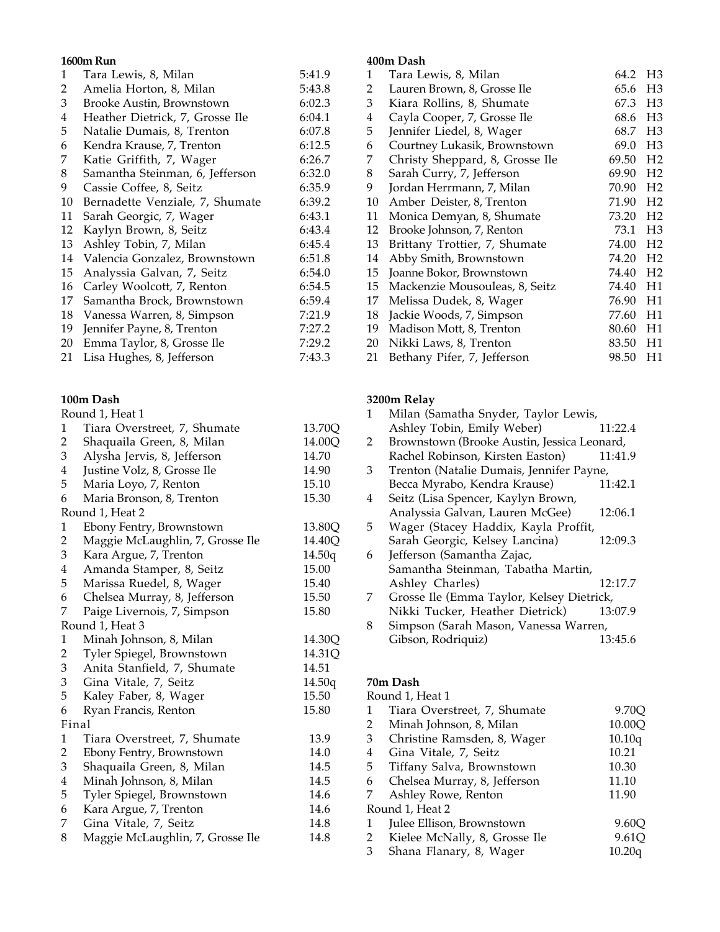## **1600m Run**

| 1  | Tara Lewis, 8, Milan            | 5:41.9 |
|----|---------------------------------|--------|
| 2  | Amelia Horton, 8, Milan         | 5:43.8 |
| 3  | Brooke Austin, Brownstown       | 6:02.3 |
| 4  | Heather Dietrick, 7, Grosse Ile | 6:04.1 |
| 5  | Natalie Dumais, 8, Trenton      | 6:07.8 |
| 6  | Kendra Krause, 7, Trenton       | 6:12.5 |
| 7  | Katie Griffith, 7, Wager        | 6:26.7 |
| 8  | Samantha Steinman, 6, Jefferson | 6:32.0 |
| 9  | Cassie Coffee, 8, Seitz         | 6:35.9 |
| 10 | Bernadette Venziale, 7, Shumate | 6:39.2 |
| 11 | Sarah Georgic, 7, Wager         | 6:43.1 |
| 12 | Kaylyn Brown, 8, Seitz          | 6:43.4 |
| 13 | Ashley Tobin, 7, Milan          | 6:45.4 |
| 14 | Valencia Gonzalez, Brownstown   | 6:51.8 |
| 15 | Analyssia Galvan, 7, Seitz      | 6:54.0 |
| 16 | Carley Woolcott, 7, Renton      | 6:54.5 |
| 17 | Samantha Brock, Brownstown      | 6:59.4 |
| 18 | Vanessa Warren, 8, Simpson      | 7:21.9 |
| 19 | Jennifer Payne, 8, Trenton      | 7:27.2 |
| 20 | Emma Taylor, 8, Grosse Ile      | 7:29.2 |
| 21 | Lisa Hughes, 8, Jefferson       | 7:43.3 |
|    |                                 |        |

# **100m Dash**

|                         | Round 1, Heat 1                  |        |
|-------------------------|----------------------------------|--------|
| 1                       | Tiara Overstreet, 7, Shumate     | 13.70Q |
| $\overline{\mathbf{c}}$ | Shaquaila Green, 8, Milan        | 14.00Q |
| 3                       | Alysha Jervis, 8, Jefferson      | 14.70  |
| 4                       | Justine Volz, 8, Grosse Ile      | 14.90  |
| 5                       | Maria Loyo, 7, Renton            | 15.10  |
| 6                       | Maria Bronson, 8, Trenton        | 15.30  |
|                         | Round 1, Heat 2                  |        |
| 1                       | Ebony Fentry, Brownstown         | 13.80Q |
| $\overline{c}$          | Maggie McLaughlin, 7, Grosse Ile | 14.40Q |
| 3                       | Kara Argue, 7, Trenton           | 14.50q |
| 4                       | Amanda Stamper, 8, Seitz         | 15.00  |
| 5                       | Marissa Ruedel, 8, Wager         | 15.40  |
| 6                       | Chelsea Murray, 8, Jefferson     | 15.50  |
| 7                       | Paige Livernois, 7, Simpson      | 15.80  |
|                         | Round 1, Heat 3                  |        |
| $\mathbf{1}$            | Minah Johnson, 8, Milan          | 14.30Q |
| $\overline{\mathbf{c}}$ | Tyler Spiegel, Brownstown        | 14.31Q |
| 3                       | Anita Stanfield, 7, Shumate      | 14.51  |
| 3                       | Gina Vitale, 7, Seitz            | 14.50q |
| 5                       | Kaley Faber, 8, Wager            | 15.50  |
| 6                       | Ryan Francis, Renton             | 15.80  |
| Final                   |                                  |        |
| $\mathbf{1}$            | Tiara Overstreet, 7, Shumate     | 13.9   |
| $\overline{c}$          | Ebony Fentry, Brownstown         | 14.0   |
| 3                       | Shaquaila Green, 8, Milan        | 14.5   |
| $\overline{\mathbf{4}}$ | Minah Johnson, 8, Milan          | 14.5   |
| 5                       | Tyler Spiegel, Brownstown        | 14.6   |
| 6                       | Kara Argue, 7, Trenton           | 14.6   |
| 7                       | Gina Vitale, 7, Seitz            | 14.8   |
| 8                       | Maggie McLaughlin, 7, Grosse Ile | 14.8   |
|                         |                                  |        |

## **400m Dash**

| 1  | Tara Lewis, 8, Milan            | 64.2  | H <sub>3</sub> |
|----|---------------------------------|-------|----------------|
| 2  | Lauren Brown, 8, Grosse Ile     | 65.6  | H <sub>3</sub> |
| 3  | Kiara Rollins, 8, Shumate       | 67.3  | H <sub>3</sub> |
| 4  | Cayla Cooper, 7, Grosse Ile     | 68.6  | H <sub>3</sub> |
| 5  | Jennifer Liedel, 8, Wager       | 68.7  | H <sub>3</sub> |
| 6  | Courtney Lukasik, Brownstown    | 69.0  | H <sub>3</sub> |
| 7  | Christy Sheppard, 8, Grosse Ile | 69.50 | H <sub>2</sub> |
| 8  | Sarah Curry, 7, Jefferson       | 69.90 | H <sub>2</sub> |
| 9  | Jordan Herrmann, 7, Milan       | 70.90 | H <sub>2</sub> |
| 10 | Amber Deister, 8, Trenton       | 71.90 | H <sub>2</sub> |
| 11 | Monica Demyan, 8, Shumate       | 73.20 | H <sub>2</sub> |
| 12 | Brooke Johnson, 7, Renton       | 73.1  | H <sub>3</sub> |
| 13 | Brittany Trottier, 7, Shumate   | 74.00 | H <sub>2</sub> |
| 14 | Abby Smith, Brownstown          | 74.20 | H <sub>2</sub> |
| 15 | Joanne Bokor, Brownstown        | 74.40 | H <sub>2</sub> |
| 15 | Mackenzie Mousouleas, 8, Seitz  | 74.40 | H1             |
| 17 | Melissa Dudek, 8, Wager         | 76.90 | H1             |
| 18 | Jackie Woods, 7, Simpson        | 77.60 | H1             |
| 19 | Madison Mott, 8, Trenton        | 80.60 | H1             |
| 20 | Nikki Laws, 8, Trenton          | 83.50 | H1             |
| 21 | Bethany Pifer, 7, Jefferson     | 98.50 | H1             |

# **3200m Relay**

| 1  | Milan (Samatha Snyder, Taylor Lewis,        |         |
|----|---------------------------------------------|---------|
|    | Ashley Tobin, Emily Weber)                  | 11:22.4 |
| 2  | Brownstown (Brooke Austin, Jessica Leonard, |         |
|    | Rachel Robinson, Kirsten Easton)            | 11:41.9 |
| 3  | Trenton (Natalie Dumais, Jennifer Payne,    |         |
|    | Becca Myrabo, Kendra Krause)                | 11:42.1 |
| 4  | Seitz (Lisa Spencer, Kaylyn Brown,          |         |
|    | Analyssia Galvan, Lauren McGee)             | 12:06.1 |
| 5. | Wager (Stacey Haddix, Kayla Proffit,        |         |
|    | Sarah Georgic, Kelsey Lancina)              | 12:09.3 |
| 6  | Jefferson (Samantha Zajac,                  |         |
|    | Samantha Steinman, Tabatha Martin,          |         |
|    | Ashley Charles)                             | 12:17.7 |
| 7  | Grosse Ile (Emma Taylor, Kelsey Dietrick,   |         |
|    | Nikki Tucker, Heather Dietrick)             | 13:07.9 |
| 8  | Simpson (Sarah Mason, Vanessa Warren,       |         |
|    | Gibson, Rodriquiz)                          | 13:45.6 |

### **70m Dash**

|   | Round 1, Heat 1               |        |
|---|-------------------------------|--------|
|   | Tiara Overstreet, 7, Shumate  | 9.70Q  |
| 2 | Minah Johnson, 8, Milan       | 10.00Q |
| 3 | Christine Ramsden, 8, Wager   | 10.10q |
| 4 | Gina Vitale, 7, Seitz         | 10.21  |
| 5 | Tiffany Salva, Brownstown     | 10.30  |
| 6 | Chelsea Murray, 8, Jefferson  | 11.10  |
| 7 | Ashley Rowe, Renton           | 11.90  |
|   | Round 1, Heat 2               |        |
| 1 | Julee Ellison, Brownstown     | 9.60Q  |
| 2 | Kielee McNally, 8, Grosse Ile | 9.61Q  |
| 3 | Shana Flanary, 8, Wager       | 10.20q |
|   |                               |        |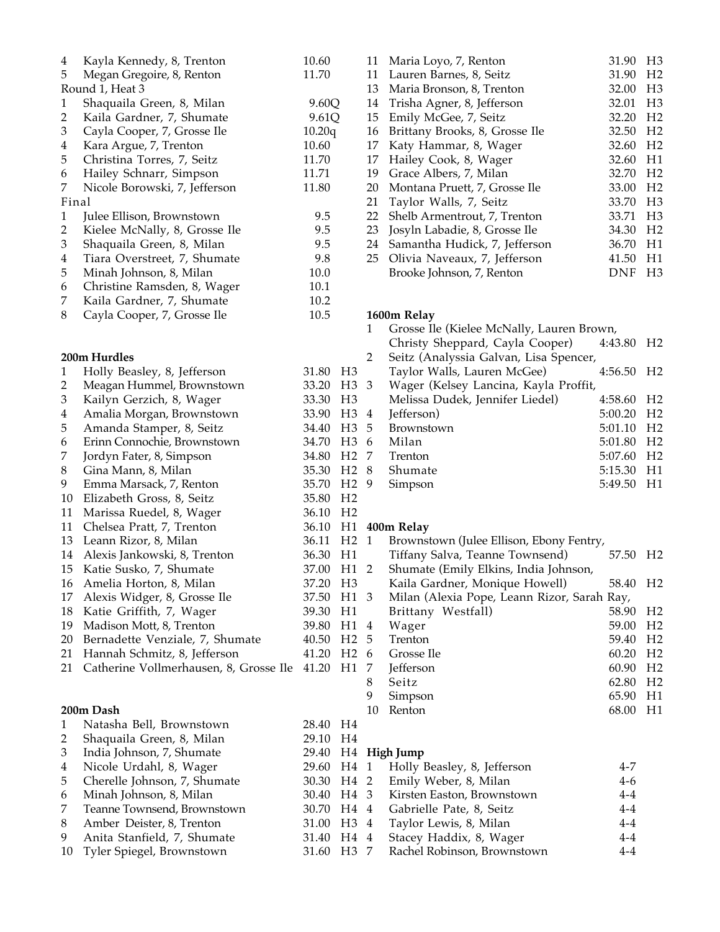| $\overline{\mathbf{4}}$ | Kayla Kennedy, 8, Trenton              | 10.60                  |                  |              | 11 Maria Loyo, 7, Renton                    | 31.90 H3   |                |
|-------------------------|----------------------------------------|------------------------|------------------|--------------|---------------------------------------------|------------|----------------|
| 5                       | Megan Gregoire, 8, Renton              | 11.70                  |                  |              | 31.90<br>11 Lauren Barnes, 8, Seitz         |            | H <sub>2</sub> |
|                         | Round 1, Heat 3                        |                        |                  |              | 32.00<br>13 Maria Bronson, 8, Trenton       |            | H3             |
| $\mathbf{1}$            | Shaquaila Green, 8, Milan              | 9.60Q                  |                  | 14           | Trisha Agner, 8, Jefferson                  | 32.01      | H3             |
| 2                       | Kaila Gardner, 7, Shumate              | 9.61Q                  |                  | 15           | Emily McGee, 7, Seitz                       | 32.20      | H <sub>2</sub> |
| 3                       | Cayla Cooper, 7, Grosse Ile            | 10.20q                 |                  |              | 16 Brittany Brooks, 8, Grosse Ile           | 32.50      | H <sub>2</sub> |
| 4                       | Kara Argue, 7, Trenton                 | 10.60                  |                  | 17           | Katy Hammar, 8, Wager                       | 32.60      | H <sub>2</sub> |
| 5                       | Christina Torres, 7, Seitz             | 11.70                  |                  | 17           | Hailey Cook, 8, Wager                       | 32.60      | H1             |
| 6                       | Hailey Schnarr, Simpson                | 11.71                  |                  | 19           | Grace Albers, 7, Milan                      | 32.70      | H <sub>2</sub> |
| 7                       | Nicole Borowski, 7, Jefferson          | 11.80                  |                  | 20           | Montana Pruett, 7, Grosse Ile               | 33.00      | H <sub>2</sub> |
| Final                   |                                        |                        |                  | 21           | Taylor Walls, 7, Seitz                      | 33.70      | H3             |
| $\mathbf{1}$            | Julee Ellison, Brownstown              | 9.5                    |                  | 22           | Shelb Armentrout, 7, Trenton                | 33.71      | H3             |
| $\overline{2}$          | Kielee McNally, 8, Grosse Ile          | 9.5                    |                  |              | 23 Josyln Labadie, 8, Grosse Ile            | 34.30      | H <sub>2</sub> |
| 3                       |                                        | 9.5                    |                  |              |                                             | 36.70      | H1             |
|                         | Shaquaila Green, 8, Milan              |                        |                  |              | 24 Samantha Hudick, 7, Jefferson            |            |                |
| $\overline{\mathbf{4}}$ | Tiara Overstreet, 7, Shumate           | 9.8                    |                  |              | 25 Olivia Naveaux, 7, Jefferson             | 41.50      | H1             |
| 5                       | Minah Johnson, 8, Milan                | 10.0                   |                  |              | Brooke Johnson, 7, Renton                   | <b>DNF</b> | H3             |
| 6                       | Christine Ramsden, 8, Wager            | 10.1                   |                  |              |                                             |            |                |
| 7                       | Kaila Gardner, 7, Shumate              | 10.2                   |                  |              |                                             |            |                |
| $\,8\,$                 | Cayla Cooper, 7, Grosse Ile            | 10.5                   |                  |              | 1600m Relay                                 |            |                |
|                         |                                        |                        |                  | $\mathbf{1}$ | Grosse Ile (Kielee McNally, Lauren Brown,   |            |                |
|                         |                                        |                        |                  |              | Christy Sheppard, Cayla Cooper)             | 4:43.80    | H2             |
|                         | 200m Hurdles                           |                        |                  | 2            | Seitz (Analyssia Galvan, Lisa Spencer,      |            |                |
| $\mathbf{1}$            | Holly Beasley, 8, Jefferson            | 31.80 H3               |                  |              | Taylor Walls, Lauren McGee)                 | 4:56.50    | H <sub>2</sub> |
| $\overline{2}$          | Meagan Hummel, Brownstown              | 33.20 H3 3             |                  |              | Wager (Kelsey Lancina, Kayla Proffit,       |            |                |
| 3                       | Kailyn Gerzich, 8, Wager               | 33.30                  | H <sub>3</sub>   |              | Melissa Dudek, Jennifer Liedel)             | 4:58.60    | H <sub>2</sub> |
| 4                       | Amalia Morgan, Brownstown              | 33.90                  | H <sub>3</sub> 4 |              | Jefferson)                                  | 5:00.20    | H <sub>2</sub> |
| 5                       | Amanda Stamper, 8, Seitz               | 34.40                  | H <sub>3</sub>   | -5           | Brownstown                                  | 5:01.10    | H <sub>2</sub> |
| 6                       | Erinn Connochie, Brownstown            | 34.70                  | H <sub>3</sub> 6 |              | Milan                                       | 5:01.80    | H <sub>2</sub> |
| 7                       | Jordyn Fater, 8, Simpson               | 34.80                  | H <sub>2</sub> 7 |              | Trenton                                     | 5:07.60    | H <sub>2</sub> |
| 8                       | Gina Mann, 8, Milan                    | 35.30                  | H <sub>2</sub> 8 |              | Shumate                                     | 5:15.30    | H1             |
| 9                       | Emma Marsack, 7, Renton                | 35.70                  | H <sub>2</sub> 9 |              | Simpson                                     | 5:49.50    | H1             |
| 10                      | Elizabeth Gross, 8, Seitz              | 35.80                  | H <sub>2</sub>   |              |                                             |            |                |
| 11                      | Marissa Ruedel, 8, Wager               | 36.10                  | H <sub>2</sub>   |              |                                             |            |                |
| 11                      | Chelsea Pratt, 7, Trenton              |                        |                  |              | 36.10 H1 400m Relay                         |            |                |
|                         | 13 Leann Rizor, 8, Milan               | 36.11 H <sub>2</sub> 1 |                  |              | Brownstown (Julee Ellison, Ebony Fentry,    |            |                |
|                         | 14 Alexis Jankowski, 8, Trenton        | 36.30 H1               |                  |              | Tiffany Salva, Teanne Townsend)             | 57.50      | $_{\rm H2}$    |
|                         | 15 Katie Susko, 7, Shumate             | 37.00 H1 2             |                  |              | Shumate (Emily Elkins, India Johnson,       |            |                |
|                         | 16 Amelia Horton, 8, Milan             | 37.20 H3               |                  |              | Kaila Gardner, Monique Howell)              | 58.40 H2   |                |
| 17                      | Alexis Widger, 8, Grosse Ile           | 37.50 H1 3             |                  |              | Milan (Alexia Pope, Leann Rizor, Sarah Ray, |            |                |
| 18                      | Katie Griffith, 7, Wager               | 39.30                  | H1               |              | Brittany Westfall)                          | 58.90      | H2             |
| 19                      | Madison Mott, 8, Trenton               | 39.80                  | H1 4             |              | Wager                                       | 59.00      | H <sub>2</sub> |
| 20                      | Bernadette Venziale, 7, Shumate        | 40.50                  | H <sub>2</sub> 5 |              | Trenton                                     | 59.40      | H <sub>2</sub> |
|                         | Hannah Schmitz, 8, Jefferson           | 41.20                  | H <sub>2</sub> 6 |              | Grosse Ile                                  | 60.20      | H <sub>2</sub> |
| 21                      |                                        | 41.20                  | H1 7             |              |                                             |            |                |
| 21                      | Catherine Vollmerhausen, 8, Grosse Ile |                        |                  |              | Jefferson                                   | 60.90      | H <sub>2</sub> |
|                         |                                        |                        |                  | 8            | Seitz                                       | 62.80      | H <sub>2</sub> |
|                         |                                        |                        |                  | 9            | Simpson                                     | 65.90      | H1             |
|                         | 200m Dash                              |                        |                  | 10           | Renton                                      | 68.00      | H1             |
| 1                       | Natasha Bell, Brownstown               | 28.40 H4               |                  |              |                                             |            |                |
| 2                       | Shaquaila Green, 8, Milan              | 29.10                  | H4               |              |                                             |            |                |
| 3                       | India Johnson, 7, Shumate              | 29.40                  |                  |              | H <sub>4</sub> High Jump                    |            |                |
| $\overline{\mathbf{4}}$ | Nicole Urdahl, 8, Wager                | 29.60                  | H4 1             |              | Holly Beasley, 8, Jefferson                 | $4 - 7$    |                |
| 5                       | Cherelle Johnson, 7, Shumate           | 30.30 H4 2             |                  |              | Emily Weber, 8, Milan                       | $4 - 6$    |                |
| 6                       | Minah Johnson, 8, Milan                | 30.40 H4 3             |                  |              | Kirsten Easton, Brownstown                  | $4 - 4$    |                |
| 7                       | Teanne Townsend, Brownstown            | 30.70 H4 4             |                  |              | Gabrielle Pate, 8, Seitz                    | $4-4$      |                |
| 8                       | Amber Deister, 8, Trenton              | 31.00 H3 4             |                  |              | Taylor Lewis, 8, Milan                      | $4 - 4$    |                |
| 9                       | Anita Stanfield, 7, Shumate            | 31.40 H4 4             |                  |              | Stacey Haddix, 8, Wager                     | $4 - 4$    |                |
| 10                      | Tyler Spiegel, Brownstown              | 31.60 H3 7             |                  |              | Rachel Robinson, Brownstown                 | $4 - 4$    |                |